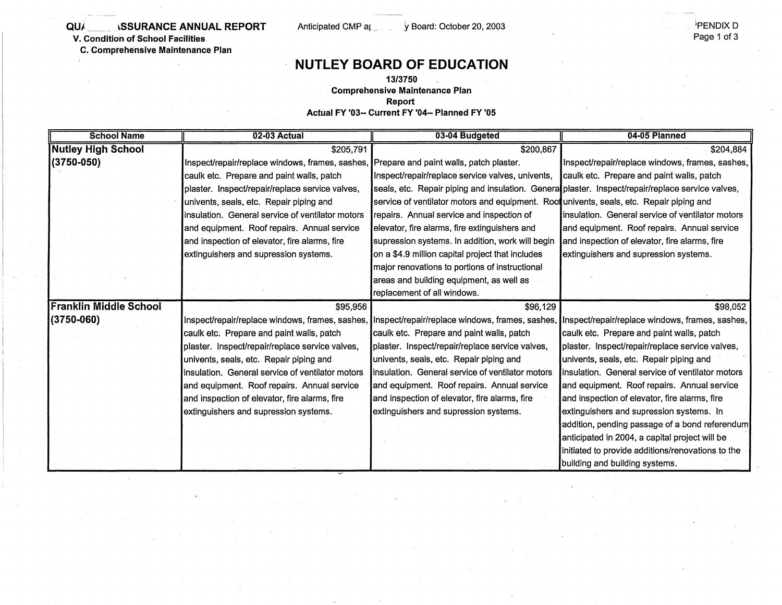### **QU/ SSURANCE ANNUAL REPORT** Anticipated CMP ar ... y Board: October 20, 2003

**V. Condition of School Facilities** 

**C. Comprehensive Maintenance Plan** 

## **NUTLEY BOARD OF EDUCATION**

### **13/3150**

**Comprehensive Maintenance Plan** 

**Report** 

**Actual FY '03-- Current FY '04- Planned FY '05** 

| <b>School Name</b>            | 02-03 Actual                                                                                                                                    | 03-04 Budgeted                                                                                   | 04-05 Planned                                     |
|-------------------------------|-------------------------------------------------------------------------------------------------------------------------------------------------|--------------------------------------------------------------------------------------------------|---------------------------------------------------|
| <b>Nutley High School</b>     | \$205,791                                                                                                                                       | \$200,867                                                                                        | \$204,884                                         |
| $(3750 - 050)$                | Inspect/repair/replace windows, frames, sashes,                                                                                                 | Prepare and paint walls, patch plaster.                                                          | Inspect/repair/replace windows, frames, sashes,   |
|                               | caulk etc. Prepare and paint walls, patch                                                                                                       | Inspect/repair/replace service valves, univents,                                                 | caulk etc. Prepare and paint walls, patch         |
|                               | plaster. Inspect/repair/replace service valves,                                                                                                 | seals, etc. Repair piping and insulation. Genera plaster. Inspect/repair/replace service valves, |                                                   |
|                               | univents, seals, etc. Repair piping and                                                                                                         | service of ventilator motors and equipment. Root univents, seals, etc. Repair piping and         |                                                   |
|                               | insulation. General service of ventilator motors                                                                                                | repairs. Annual service and inspection of                                                        | linsulation. General service of ventilator motors |
|                               | and equipment. Roof repairs. Annual service                                                                                                     | elevator, fire alarms, fire extinguishers and                                                    | and equipment. Roof repairs. Annual service       |
|                               | and inspection of elevator, fire alarms, fire                                                                                                   | supression systems. In addition, work will begin                                                 | and inspection of elevator, fire alarms, fire     |
|                               | extinguishers and supression systems.                                                                                                           | on a \$4.9 million capital project that includes                                                 | extinguishers and supression systems.             |
|                               |                                                                                                                                                 | major renovations to portions of instructional                                                   |                                                   |
|                               |                                                                                                                                                 | areas and building equipment, as well as                                                         |                                                   |
|                               |                                                                                                                                                 | replacement of all windows.                                                                      |                                                   |
| <b>Franklin Middle School</b> | \$95,956                                                                                                                                        | \$96,129                                                                                         | \$98,052                                          |
| (3750-060)                    | Inspect/repair/replace windows, frames, sashes, Inspect/repair/replace windows, frames, sashes, Inspect/repair/replace windows, frames, sashes, |                                                                                                  |                                                   |
|                               | caulk etc. Prepare and paint walls, patch                                                                                                       | caulk etc. Prepare and paint walls, patch                                                        | caulk etc. Prepare and paint walls, patch         |
|                               | plaster. Inspect/repair/replace service valves,                                                                                                 | plaster. Inspect/repair/replace service valves,                                                  | plaster. Inspect/repair/replace service valves,   |
|                               | univents, seals, etc. Repair piping and                                                                                                         | univents, seals, etc. Repair piping and                                                          | univents, seals, etc. Repair piping and           |
|                               | linsulation. General service of ventilator motors                                                                                               | Insulation. General service of ventilator motors                                                 | insulation. General service of ventilator motors  |
|                               | and equipment. Roof repairs. Annual service                                                                                                     | and equipment. Roof repairs. Annual service                                                      | and equipment. Roof repairs. Annual service       |
|                               | and inspection of elevator, fire alarms, fire                                                                                                   | and inspection of elevator, fire alarms, fire                                                    | and inspection of elevator, fire alarms, fire     |
|                               | extinguishers and supression systems.                                                                                                           | extinguishers and supression systems.                                                            | extinguishers and supression systems. In          |
|                               |                                                                                                                                                 |                                                                                                  | addition, pending passage of a bond referendum    |
|                               |                                                                                                                                                 |                                                                                                  | anticipated in 2004, a capital project will be    |
|                               |                                                                                                                                                 |                                                                                                  | initiated to provide additions/renovations to the |
|                               |                                                                                                                                                 |                                                                                                  | building and building systems.                    |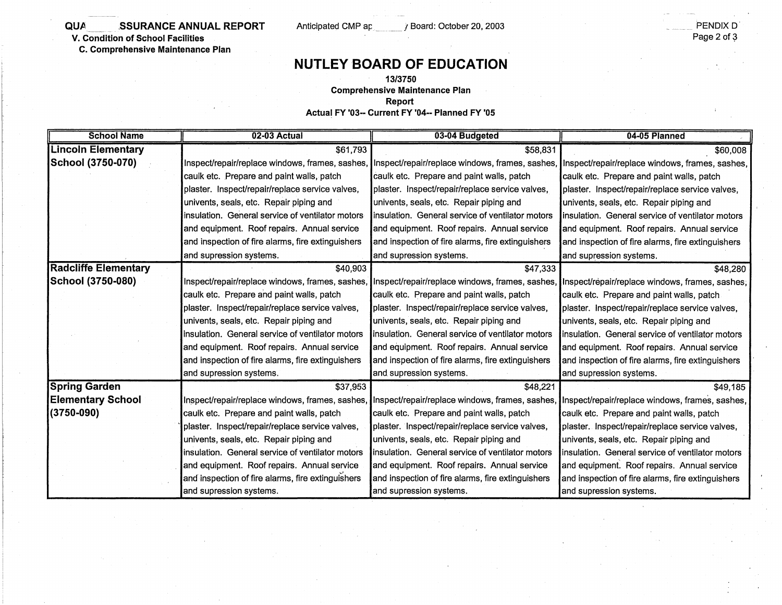**QUA \_\_ .. SSURANCE ANNUAL REPORT** 

**V. Condition of School Facilities** 

**C. Comprehensive Maintenance Plan** 

Anticipated CMP ap://board: October 20, 2003

# **NUTLEY BOARD OF EDUCATION**

#### **13/3750**

**Comprehensive Maintenance Plan** 

**Report** 

**Actual FY '03- Current FY '04-- Planned FY '05** 

| <b>School Name</b>          | 02-03 Actual                                      | 03-04 Budgeted                                                                                  | 04-05 Planned                                     |
|-----------------------------|---------------------------------------------------|-------------------------------------------------------------------------------------------------|---------------------------------------------------|
| <b>Lincoln Elementary</b>   | \$61,793                                          | \$58,831                                                                                        | \$60,008                                          |
| School (3750-070)           | Inspect/repair/replace windows, frames, sashes,   | Inspect/repair/replace windows, frames, sashes,                                                 | Inspect/repair/replace windows, frames, sashes,   |
|                             | caulk etc. Prepare and paint walls, patch         | caulk etc. Prepare and paint walls, patch                                                       | caulk etc. Prepare and paint walls, patch         |
|                             | plaster. Inspect/repair/replace service valves,   | plaster. Inspect/repair/replace service valves,                                                 | plaster. Inspect/repair/replace service valves,   |
|                             | univents, seals, etc. Repair piping and           | univents, seals, etc. Repair piping and                                                         | univents, seals, etc. Repair piping and           |
|                             | insulation. General service of ventilator motors  | insulation. General service of ventilator motors                                                | insulation. General service of ventilator motors  |
|                             | and equipment. Roof repairs. Annual service       | and equipment. Roof repairs. Annual service                                                     | and equipment. Roof repairs. Annual service       |
|                             | and inspection of fire alarms, fire extinguishers | and inspection of fire alarms, fire extinguishers                                               | and inspection of fire alarms, fire extinguishers |
|                             | and supression systems.                           | and supression systems.                                                                         | and supression systems.                           |
| <b>Radcliffe Elementary</b> | \$40,903                                          | \$47,333                                                                                        | \$48,280                                          |
| School (3750-080)           | Inspect/repair/replace windows, frames, sashes,   | Inspect/repair/replace windows, frames, sashes, Inspect/repair/replace windows, frames, sashes; |                                                   |
|                             | caulk etc. Prepare and paint walls, patch         | caulk etc. Prepare and paint walls, patch                                                       | caulk etc. Prepare and paint walls, patch         |
|                             | plaster. Inspect/repair/replace service valves,   | plaster. Inspect/repair/replace service valves,                                                 | plaster. Inspect/repair/replace service valves,   |
|                             | univents, seals, etc. Repair piping and           | univents, seals, etc. Repair piping and                                                         | univents, seals, etc. Repair piping and           |
|                             | insulation. General service of ventilator motors  | insulation. General service of ventilator motors                                                | insulation. General service of ventilator motors  |
|                             | and equipment. Roof repairs. Annual service       | and equipment. Roof repairs. Annual service                                                     | and equipment. Roof repairs. Annual service       |
|                             | and inspection of fire alarms, fire extinguishers | and inspection of fire alarms, fire extinguishers                                               | and inspection of fire alarms, fire extinguishers |
|                             | and supression systems.                           | and supression systems.                                                                         | and supression systems.                           |
| <b>Spring Garden</b>        | \$37,953                                          | \$48,221                                                                                        | \$49,185                                          |
| <b>Elementary School</b>    | Inspect/repair/replace windows, frames, sashes,   | Inspect/repair/replace windows, frames, sashes,                                                 | Inspect/repair/replace windows, frames, sashes,   |
| $(3750 - 090)$              | caulk etc. Prepare and paint walls, patch         | caulk etc. Prepare and paint walls, patch                                                       | caulk etc. Prepare and paint walls, patch         |
|                             | plaster. Inspect/repair/replace service valves,   | plaster. Inspect/repair/replace service valves,                                                 | plaster. Inspect/repair/replace service valves,   |
|                             | univents, seals, etc. Repair piping and           | univents, seals, etc. Repair piping and                                                         | univents, seals, etc. Repair piping and           |
|                             | insulation. General service of ventilator motors  | insulation. General service of ventilator motors                                                | insulation. General service of ventilator motors  |
|                             | and equipment. Roof repairs. Annual service       | and equipment. Roof repairs. Annual service                                                     | and equipment. Roof repairs. Annual service       |
|                             | and inspection of fire alarms, fire extinguishers | and inspection of fire alarms, fire extinguishers                                               | and inspection of fire alarms, fire extinguishers |
|                             | and supression systems.                           | and supression systems.                                                                         | and supression systems.                           |